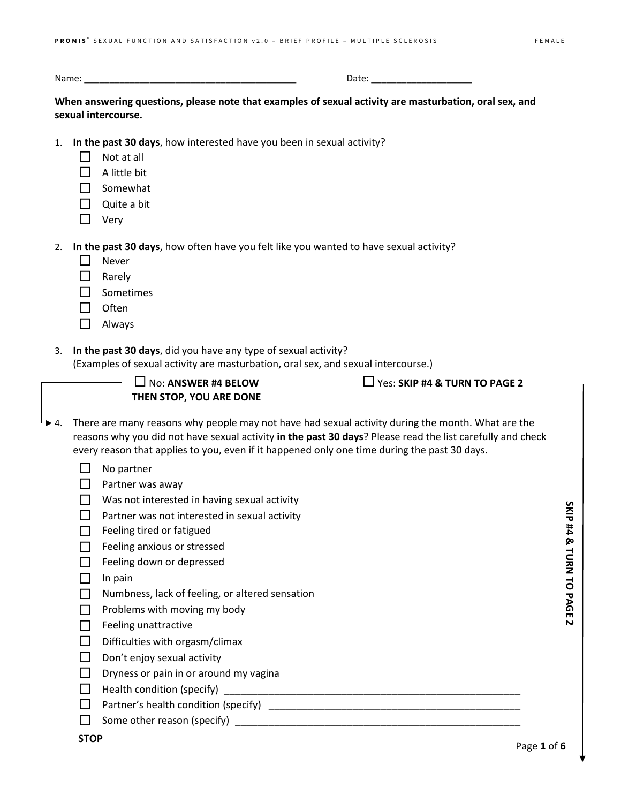Name: \_\_\_\_\_\_\_\_\_\_\_\_\_\_\_\_\_\_\_\_\_\_\_\_\_\_\_\_\_\_\_\_\_\_\_\_\_\_\_\_\_\_ Date: \_\_\_\_\_\_\_\_\_\_\_\_\_\_\_\_\_\_\_\_

**When answering questions, please note that examples of sexual activity are masturbation, oral sex, and sexual intercourse.**

- 1. **In the past 30 days**, how interested have you been in sexual activity?
	- $\Box$  Not at all
	- $\Box$  A little bit
	- $\Box$  Somewhat
	- $\Box$  Quite a bit
	- $\Box$  Very

2. **In the past 30 days**, how often have you felt like you wanted to have sexual activity?

- $\Box$  Never
- **D** Rarely
- $\Box$  Sometimes
- $\Box$  Often
- Always
- 3. **In the past 30 days**, did you have any type of sexual activity?

(Examples of sexual activity are masturbation, oral sex, and sexual intercourse.)

| L, | $\Box$ No: ANSWER #4 BELOW     |
|----|--------------------------------|
|    | <b>THEN STOP, YOU ARE DONE</b> |

 $\Box$  Yes: **SKIP #4 & TURN TO PAGE 2** –

- $\rightarrow$  4. There are many reasons why people may not have had sexual activity during the month. What are the reasons why you did not have sexual activity **in the past 30 days**? Please read the list carefully and check every reason that applies to you, even if it happened only one time during the past 30 days.
	- $\Box$  No partner
	- $\Box$  Partner was away
	- $\Box$  Was not interested in having sexual activity
	- $\Box$  Partner was not interested in sexual activity
	- $\Box$  Feeling tired or fatigued
	- $\Box$  Feeling anxious or stressed
	- $\Box$  Feeling down or depressed
	- $\Box$  In pain
	- $\Box$  Numbness, lack of feeling, or altered sensation
	- $\Box$  Problems with moving my body
	- $\Box$  Feeling unattractive
	- $\Box$  Difficulties with orgasm/climax
	- $\Box$  Don't enjoy sexual activity
	- $\Box$  Dryness or pain in or around my vagina
	- $\Box$  Health condition (specify)  $\Box$
	- $\Box$  Partner's health condition (specify)  $\_\_\_\_\_\_\_\_\_\_\_\_\_\_\_\_\_\_\_\_$
	- $\Box$  Some other reason (specify)

SKIP #4 & TURN TO PAGE **SKIP #4 & TURN TO PAGE 2**

 $\overline{\mathbf{v}}$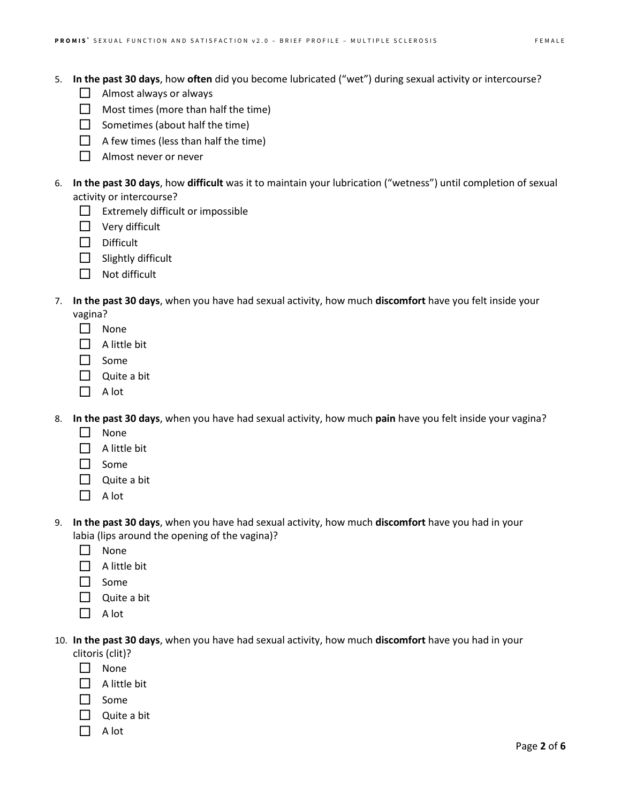- $\Box$  Almost always or always
- $\Box$  Most times (more than half the time)
- $\Box$  Sometimes (about half the time)
- $\Box$  A few times (less than half the time)
- □ Almost never or never
- 6. **In the past 30 days**, how **difficult** was it to maintain your lubrication ("wetness") until completion of sexual activity or intercourse?
	- $\Box$  Extremely difficult or impossible
	- $\Box$  Very difficult
	- $\Box$  Difficult
	- $\Box$  Slightly difficult
	- $\Box$  Not difficult
- 7. **In the past 30 days**, when you have had sexual activity, how much **discomfort** have you felt inside your
	- vagina?
	- $\Box$  None
	- $\Box$  A little bit
	- $\Box$  Some
	- $\Box$  Quite a bit
	- $\Box$  A lot
- 8. **In the past 30 days**, when you have had sexual activity, how much **pain** have you felt inside your vagina?
	- $\Box$  None
	- $\Box$  A little bit
	- $\Box$  Some
	- $\Box$  Quite a bit
	- $\Box$  A lot
- 9. **In the past 30 days**, when you have had sexual activity, how much **discomfort** have you had in your labia (lips around the opening of the vagina)?
	- $\Box$  None
	- $\Box$  A little bit
	- $\Box$  Some
	- $\Box$  Quite a bit
	- $\Box$  A lot
- 10. **In the past 30 days**, when you have had sexual activity, how much **discomfort** have you had in your clitoris (clit)?
	- □ None
	- $\Box$  A little bit
	- $\Box$  Some
	- $\Box$  Quite a bit
	- $\Box$  A lot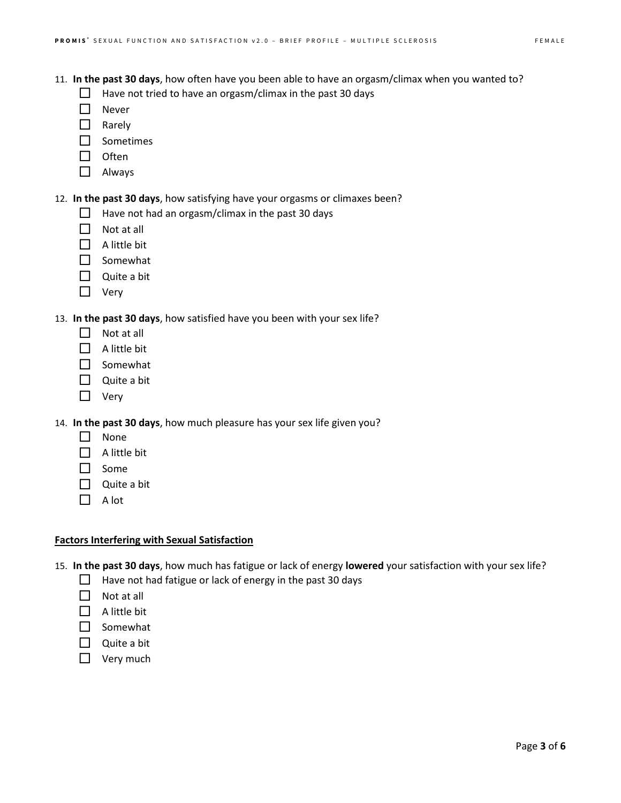- 11. **In the past 30 days**, how often have you been able to have an orgasm/climax when you wanted to?
	- $\Box$  Have not tried to have an orgasm/climax in the past 30 days
	- $\Box$  Never
	- $\Box$  Rarely
	- □ Sometimes
	- $\Box$  Often
	- Always
- 12. **In the past 30 days**, how satisfying have your orgasms or climaxes been?
	- $\Box$  Have not had an orgasm/climax in the past 30 days
	- $\Box$  Not at all
	- $\Box$  A little bit
	- □ Somewhat
	- $\Box$  Quite a bit
	- $\Box$  Very
- 13. **In the past 30 days**, how satisfied have you been with your sex life?
	- $\Box$  Not at all
	- $\Box$  A little bit
	- $\Box$  Somewhat
	- $\Box$  Quite a bit
	- □ Very

14. **In the past 30 days**, how much pleasure has your sex life given you?

- $\Box$  None
- $\Box$  A little bit
- $\Box$  Some
- $\Box$  Quite a bit
- $\Box$  A lot

## **Factors Interfering with Sexual Satisfaction**

- 15. **In the past 30 days**, how much has fatigue or lack of energy **lowered** your satisfaction with your sex life?
	- $\Box$  Have not had fatigue or lack of energy in the past 30 days
	- $\Box$  Not at all
	- $\Box$  A little bit
	- $\Box$  Somewhat
	- $\Box$  Quite a bit
	- $\Box$  Very much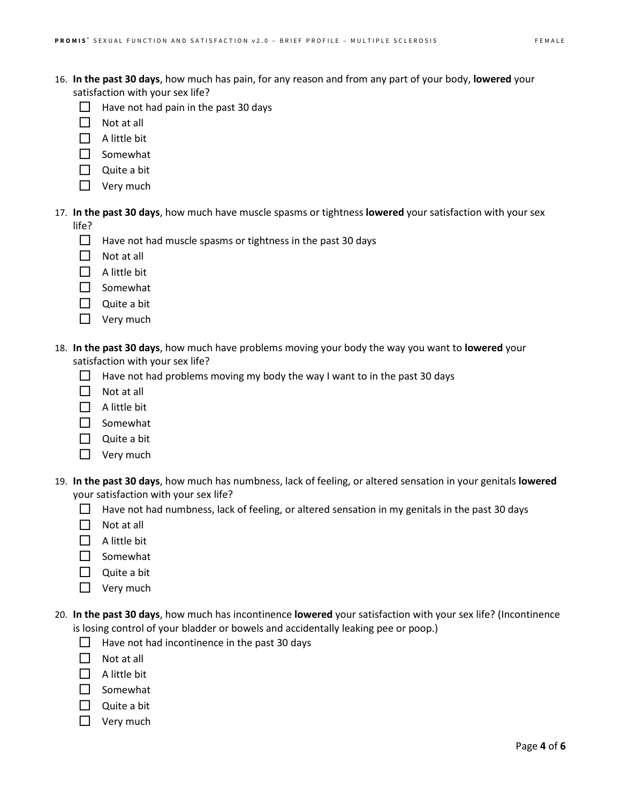- 16. **In the past 30 days**, how much has pain, for any reason and from any part of your body, **lowered** your satisfaction with your sex life?
	- $\Box$  Have not had pain in the past 30 days
	- $\Box$  Not at all
	- $\Box$  A little bit
	- $\Box$  Somewhat
	- Quite a bit
	- $\Box$  Very much
- 17. **In the past 30 days**, how much have muscle spasms or tightness **lowered** your satisfaction with your sex life?
	- $\Box$  Have not had muscle spasms or tightness in the past 30 days
	- $\Box$  Not at all
	- $\Box$  A little bit
	- $\Box$  Somewhat
	- $\Box$  Quite a bit
	- $\Box$  Very much
- 18. **In the past 30 days**, how much have problems moving your body the way you want to **lowered** your satisfaction with your sex life?
	- $\Box$  Have not had problems moving my body the way I want to in the past 30 days
	- $\Pi$  Not at all
	- $\Box$  A little bit
	- $\Box$  Somewhat
	- $\Box$  Quite a bit
	- $\Box$  Very much
- 19. **In the past 30 days**, how much has numbness, lack of feeling, or altered sensation in your genitals **lowered** your satisfaction with your sex life?
	- $\Box$  Have not had numbness, lack of feeling, or altered sensation in my genitals in the past 30 days
	- $\Box$  Not at all
	- $\Box$  A little bit
	- $\Box$  Somewhat
	- $\Box$  Quite a bit
	- $\Box$  Very much
- 20. **In the past 30 days**, how much has incontinence **lowered** your satisfaction with your sex life? (Incontinence is losing control of your bladder or bowels and accidentally leaking pee or poop.)
	- $\Box$  Have not had incontinence in the past 30 days
	- $\Pi$  Not at all
	- $\Box$  A little bit
	- $\Box$  Somewhat
	- $\Box$  Quite a bit
	- $\Box$  Very much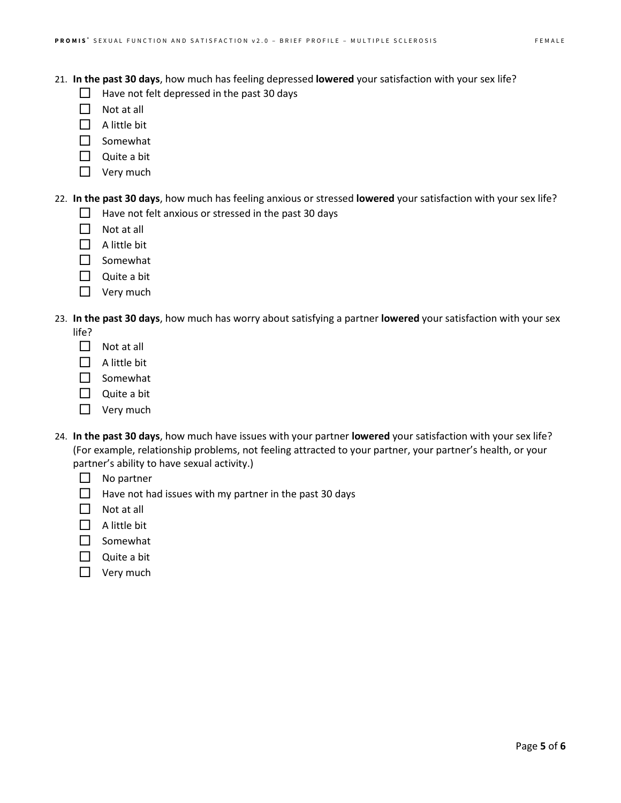- $\Box$  Have not felt depressed in the past 30 days
- $\Box$  Not at all
- $\Box$  A little bit
- $\Box$  Somewhat
- $\Box$  Quite a bit
- $\Box$  Very much
- 22. **In the past 30 days**, how much has feeling anxious or stressed **lowered** your satisfaction with your sex life?  $\Box$  Have not felt anxious or stressed in the past 30 days
	- $\Box$  Not at all
	- $\Box$  A little bit
	- Somewhat
	- $\Box$  Quite a bit
	- $\Box$  Very much
- 23. **In the past 30 days**, how much has worry about satisfying a partner **lowered** your satisfaction with your sex life?
	- $\Box$  Not at all
	- $\Box$  A little bit
	- $\Box$  Somewhat
	- $\Box$  Quite a bit
	- $\Box$  Very much
- 24. **In the past 30 days**, how much have issues with your partner **lowered** your satisfaction with your sex life? (For example, relationship problems, not feeling attracted to your partner, your partner's health, or your partner's ability to have sexual activity.)
	- $\Box$  No partner
	- $\Box$  Have not had issues with my partner in the past 30 days
	- $\Box$  Not at all
	- $\Box$  A little bit
	- $\square$  Somewhat
	- $\Box$  Quite a bit
	- $\Box$  Very much